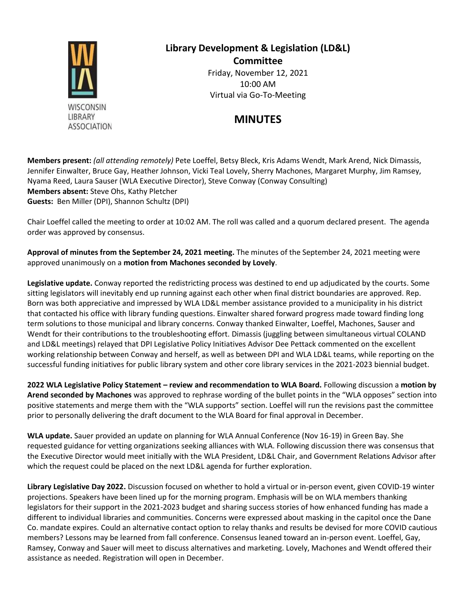

## **Library Development & Legislation (LD&L) Committee** Friday, November 12, 2021 10:00 AM Virtual via Go-To-Meeting

## **MINUTES**

**Members present:** *(all attending remotely)* Pete Loeffel, Betsy Bleck, Kris Adams Wendt, Mark Arend, Nick Dimassis, Jennifer Einwalter, Bruce Gay, Heather Johnson, Vicki Teal Lovely, Sherry Machones, Margaret Murphy, Jim Ramsey, Nyama Reed, Laura Sauser (WLA Executive Director), Steve Conway (Conway Consulting) **Members absent:** Steve Ohs, Kathy Pletcher **Guests:** Ben Miller (DPI), Shannon Schultz (DPI)

Chair Loeffel called the meeting to order at 10:02 AM. The roll was called and a quorum declared present. The agenda order was approved by consensus.

**Approval of minutes from the September 24, 2021 meeting.** The minutes of the September 24, 2021 meeting were approved unanimously on a **motion from Machones seconded by Lovely**.

**Legislative update.** Conway reported the redistricting process was destined to end up adjudicated by the courts. Some sitting legislators will inevitably end up running against each other when final district boundaries are approved. Rep. Born was both appreciative and impressed by WLA LD&L member assistance provided to a municipality in his district that contacted his office with library funding questions. Einwalter shared forward progress made toward finding long term solutions to those municipal and library concerns. Conway thanked Einwalter, Loeffel, Machones, Sauser and Wendt for their contributions to the troubleshooting effort. Dimassis (juggling between simultaneous virtual COLAND and LD&L meetings) relayed that DPI Legislative Policy Initiatives Advisor Dee Pettack commented on the excellent working relationship between Conway and herself, as well as between DPI and WLA LD&L teams, while reporting on the successful funding initiatives for public library system and other core library services in the 2021-2023 biennial budget.

**2022 WLA Legislative Policy Statement – review and recommendation to WLA Board.** Following discussion a **motion by Arend seconded by Machones** was approved to rephrase wording of the bullet points in the "WLA opposes" section into positive statements and merge them with the "WLA supports" section. Loeffel will run the revisions past the committee prior to personally delivering the draft document to the WLA Board for final approval in December.

**WLA update.** Sauer provided an update on planning for WLA Annual Conference (Nov 16-19) in Green Bay. She requested guidance for vetting organizations seeking alliances with WLA. Following discussion there was consensus that the Executive Director would meet initially with the WLA President, LD&L Chair, and Government Relations Advisor after which the request could be placed on the next LD&L agenda for further exploration.

**Library Legislative Day 2022.** Discussion focused on whether to hold a virtual or in-person event, given COVID-19 winter projections. Speakers have been lined up for the morning program. Emphasis will be on WLA members thanking legislators for their support in the 2021-2023 budget and sharing success stories of how enhanced funding has made a different to individual libraries and communities. Concerns were expressed about masking in the capitol once the Dane Co. mandate expires. Could an alternative contact option to relay thanks and results be devised for more COVID cautious members? Lessons may be learned from fall conference. Consensus leaned toward an in-person event. Loeffel, Gay, Ramsey, Conway and Sauer will meet to discuss alternatives and marketing. Lovely, Machones and Wendt offered their assistance as needed. Registration will open in December.